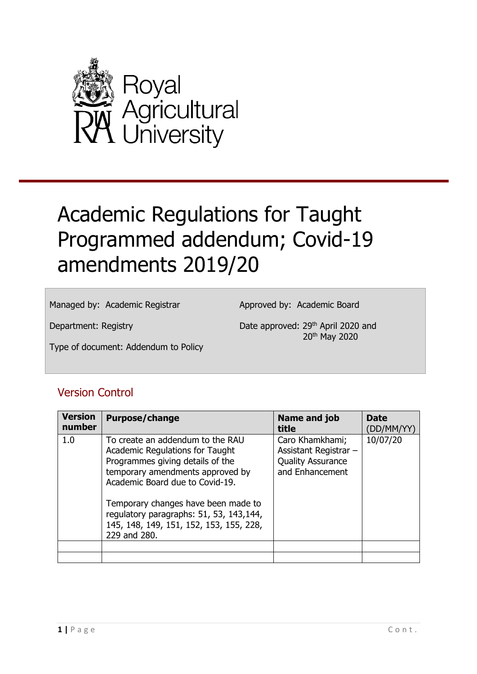

# Academic Regulations for Taught Programmed addendum; Covid-19 amendments 2019/20

Managed by: Academic Registrar

Approved by: Academic Board

Department: Registry

Date approved: 29<sup>th</sup> April 2020 and 20th May 2020

Type of document: Addendum to Policy

# Version Control

| <b>Version</b><br>number | <b>Purpose/change</b>                                                                                                                                                                                                                                                                                                       | Name and job<br>title                                                                   | <b>Date</b><br>(DD/MM/YY) |
|--------------------------|-----------------------------------------------------------------------------------------------------------------------------------------------------------------------------------------------------------------------------------------------------------------------------------------------------------------------------|-----------------------------------------------------------------------------------------|---------------------------|
| 1.0                      | To create an addendum to the RAU<br>Academic Regulations for Taught<br>Programmes giving details of the<br>temporary amendments approved by<br>Academic Board due to Covid-19.<br>Temporary changes have been made to<br>regulatory paragraphs: 51, 53, 143,144,<br>145, 148, 149, 151, 152, 153, 155, 228,<br>229 and 280. | Caro Khamkhami;<br>Assistant Registrar -<br><b>Quality Assurance</b><br>and Enhancement | 10/07/20                  |
|                          |                                                                                                                                                                                                                                                                                                                             |                                                                                         |                           |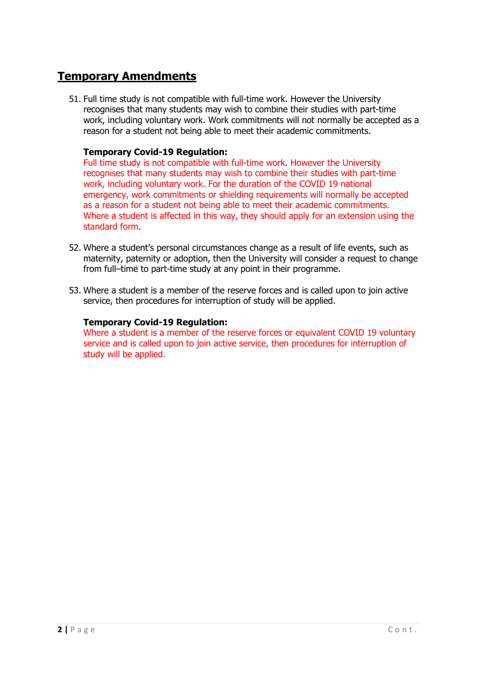# **Temporary Amendments**

51. Full time study is not compatible with full-time work. However the University recognises that many students may wish to combine their studies with part-time work, including voluntary work. Work commitments will not normally be accepted as a reason for a student not being able to meet their academic commitments.

# **Temporary Covid-19 Regulation:**

Full time study is not compatible with full-time work. However the University recognises that many students may wish to combine their studies with part-time work, including voluntary work. For the duration of the COVID 19 national emergency, work commitments or shielding requirements will normally be accepted as a reason for a student not being able to meet their academic commitments. Where a student is affected in this way, they should apply for an extension using the standard form.

- 52. Where a student's personal circumstances change as a result of life events, such as maternity, paternity or adoption, then the University will consider a request to change from full–time to part-time study at any point in their programme.
- 53. Where a student is a member of the reserve forces and is called upon to join active service, then procedures for interruption of study will be applied.

# **Temporary Covid-19 Regulation:**

Where a student is a member of the reserve forces or equivalent COVID 19 voluntary service and is called upon to join active service, then procedures for interruption of study will be applied.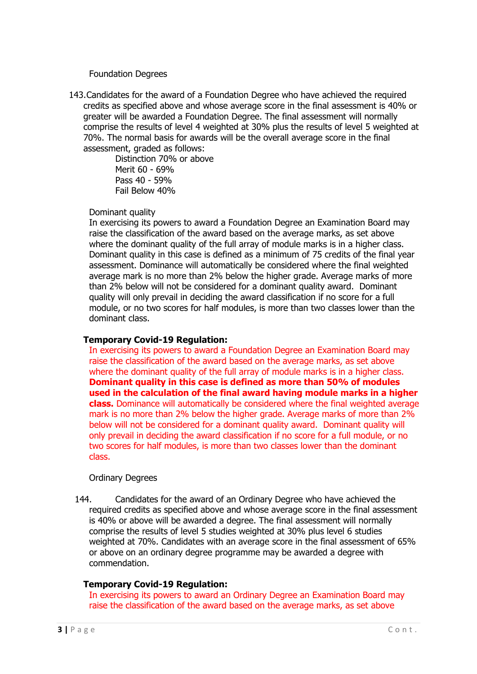# Foundation Degrees

143.Candidates for the award of a Foundation Degree who have achieved the required credits as specified above and whose average score in the final assessment is 40% or greater will be awarded a Foundation Degree. The final assessment will normally comprise the results of level 4 weighted at 30% plus the results of level 5 weighted at 70%. The normal basis for awards will be the overall average score in the final assessment, graded as follows:

Distinction 70% or above Merit 60 - 69% Pass 40 - 59% Fail Below 40%

#### Dominant quality

In exercising its powers to award a Foundation Degree an Examination Board may raise the classification of the award based on the average marks, as set above where the dominant quality of the full array of module marks is in a higher class. Dominant quality in this case is defined as a minimum of 75 credits of the final year assessment. Dominance will automatically be considered where the final weighted average mark is no more than 2% below the higher grade. Average marks of more than 2% below will not be considered for a dominant quality award. Dominant quality will only prevail in deciding the award classification if no score for a full module, or no two scores for half modules, is more than two classes lower than the dominant class.

# **Temporary Covid-19 Regulation:**

In exercising its powers to award a Foundation Degree an Examination Board may raise the classification of the award based on the average marks, as set above where the dominant quality of the full array of module marks is in a higher class. **Dominant quality in this case is defined as more than 50% of modules used in the calculation of the final award having module marks in a higher class.** Dominance will automatically be considered where the final weighted average mark is no more than 2% below the higher grade. Average marks of more than 2% below will not be considered for a dominant quality award. Dominant quality will only prevail in deciding the award classification if no score for a full module, or no two scores for half modules, is more than two classes lower than the dominant class.

# Ordinary Degrees

144. Candidates for the award of an Ordinary Degree who have achieved the required credits as specified above and whose average score in the final assessment is 40% or above will be awarded a degree. The final assessment will normally comprise the results of level 5 studies weighted at 30% plus level 6 studies weighted at 70%. Candidates with an average score in the final assessment of 65% or above on an ordinary degree programme may be awarded a degree with commendation.

# **Temporary Covid-19 Regulation:**

In exercising its powers to award an Ordinary Degree an Examination Board may raise the classification of the award based on the average marks, as set above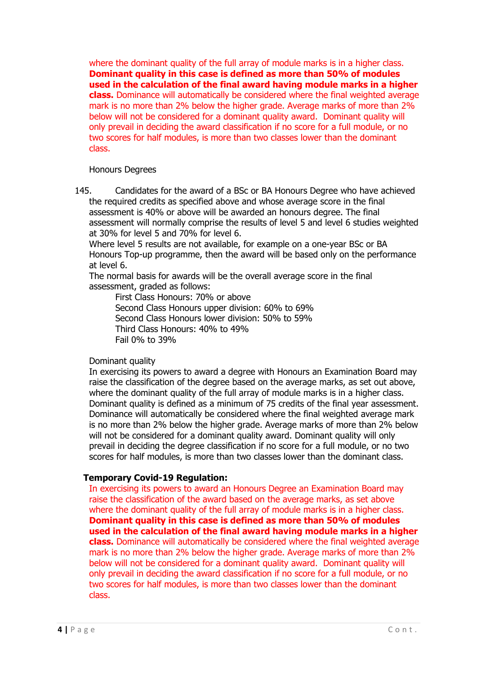where the dominant quality of the full array of module marks is in a higher class. **Dominant quality in this case is defined as more than 50% of modules used in the calculation of the final award having module marks in a higher class.** Dominance will automatically be considered where the final weighted average mark is no more than 2% below the higher grade. Average marks of more than 2% below will not be considered for a dominant quality award. Dominant quality will only prevail in deciding the award classification if no score for a full module, or no two scores for half modules, is more than two classes lower than the dominant class.

#### Honours Degrees

145. Candidates for the award of a BSc or BA Honours Degree who have achieved the required credits as specified above and whose average score in the final assessment is 40% or above will be awarded an honours degree. The final assessment will normally comprise the results of level 5 and level 6 studies weighted at 30% for level 5 and 70% for level 6.

Where level 5 results are not available, for example on a one-year BSc or BA Honours Top-up programme, then the award will be based only on the performance at level 6.

The normal basis for awards will be the overall average score in the final assessment, graded as follows:

First Class Honours: 70% or above Second Class Honours upper division: 60% to 69% Second Class Honours lower division: 50% to 59% Third Class Honours: 40% to 49% Fail 0% to 39%

# Dominant quality

In exercising its powers to award a degree with Honours an Examination Board may raise the classification of the degree based on the average marks, as set out above, where the dominant quality of the full array of module marks is in a higher class. Dominant quality is defined as a minimum of 75 credits of the final year assessment. Dominance will automatically be considered where the final weighted average mark is no more than 2% below the higher grade. Average marks of more than 2% below will not be considered for a dominant quality award. Dominant quality will only prevail in deciding the degree classification if no score for a full module, or no two scores for half modules, is more than two classes lower than the dominant class.

# **Temporary Covid-19 Regulation:**

In exercising its powers to award an Honours Degree an Examination Board may raise the classification of the award based on the average marks, as set above where the dominant quality of the full array of module marks is in a higher class. **Dominant quality in this case is defined as more than 50% of modules used in the calculation of the final award having module marks in a higher class.** Dominance will automatically be considered where the final weighted average mark is no more than 2% below the higher grade. Average marks of more than 2% below will not be considered for a dominant quality award. Dominant quality will only prevail in deciding the award classification if no score for a full module, or no two scores for half modules, is more than two classes lower than the dominant class.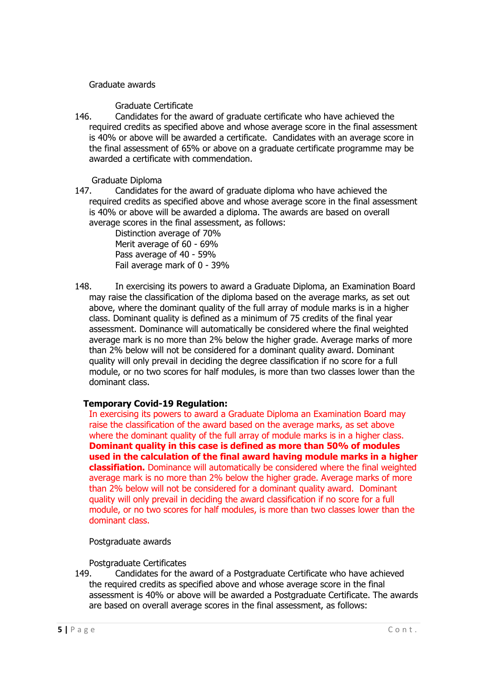# Graduate awards

# Graduate Certificate

146. Candidates for the award of graduate certificate who have achieved the required credits as specified above and whose average score in the final assessment is 40% or above will be awarded a certificate. Candidates with an average score in the final assessment of 65% or above on a graduate certificate programme may be awarded a certificate with commendation.

Graduate Diploma<br>147. Candidates f

Candidates for the award of graduate diploma who have achieved the required credits as specified above and whose average score in the final assessment is 40% or above will be awarded a diploma. The awards are based on overall average scores in the final assessment, as follows:

> Distinction average of 70% Merit average of 60 - 69% Pass average of 40 - 59% Fail average mark of 0 - 39%

148. In exercising its powers to award a Graduate Diploma, an Examination Board may raise the classification of the diploma based on the average marks, as set out above, where the dominant quality of the full array of module marks is in a higher class. Dominant quality is defined as a minimum of 75 credits of the final year assessment. Dominance will automatically be considered where the final weighted average mark is no more than 2% below the higher grade. Average marks of more than 2% below will not be considered for a dominant quality award. Dominant quality will only prevail in deciding the degree classification if no score for a full module, or no two scores for half modules, is more than two classes lower than the dominant class.

# **Temporary Covid-19 Regulation:**

In exercising its powers to award a Graduate Diploma an Examination Board may raise the classification of the award based on the average marks, as set above where the dominant quality of the full array of module marks is in a higher class. **Dominant quality in this case is defined as more than 50% of modules used in the calculation of the final award having module marks in a higher classifiation.** Dominance will automatically be considered where the final weighted average mark is no more than 2% below the higher grade. Average marks of more than 2% below will not be considered for a dominant quality award. Dominant quality will only prevail in deciding the award classification if no score for a full module, or no two scores for half modules, is more than two classes lower than the dominant class.

# Postgraduate awards

Postgraduate Certificates

149. Candidates for the award of a Postgraduate Certificate who have achieved the required credits as specified above and whose average score in the final assessment is 40% or above will be awarded a Postgraduate Certificate. The awards are based on overall average scores in the final assessment, as follows: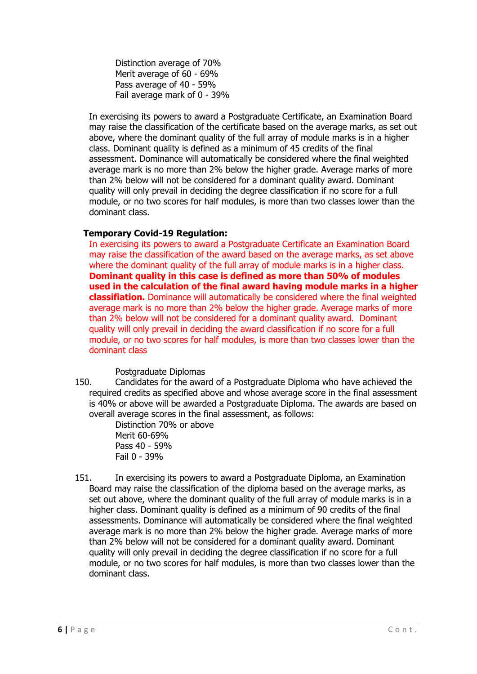Distinction average of 70% Merit average of 60 - 69% Pass average of 40 - 59% Fail average mark of 0 - 39%

In exercising its powers to award a Postgraduate Certificate, an Examination Board may raise the classification of the certificate based on the average marks, as set out above, where the dominant quality of the full array of module marks is in a higher class. Dominant quality is defined as a minimum of 45 credits of the final assessment. Dominance will automatically be considered where the final weighted average mark is no more than 2% below the higher grade. Average marks of more than 2% below will not be considered for a dominant quality award. Dominant quality will only prevail in deciding the degree classification if no score for a full module, or no two scores for half modules, is more than two classes lower than the dominant class.

# **Temporary Covid-19 Regulation:**

In exercising its powers to award a Postgraduate Certificate an Examination Board may raise the classification of the award based on the average marks, as set above where the dominant quality of the full array of module marks is in a higher class. **Dominant quality in this case is defined as more than 50% of modules used in the calculation of the final award having module marks in a higher classifiation.** Dominance will automatically be considered where the final weighted average mark is no more than 2% below the higher grade. Average marks of more than 2% below will not be considered for a dominant quality award. Dominant quality will only prevail in deciding the award classification if no score for a full module, or no two scores for half modules, is more than two classes lower than the dominant class

# Postgraduate Diplomas

150. Candidates for the award of a Postgraduate Diploma who have achieved the required credits as specified above and whose average score in the final assessment is 40% or above will be awarded a Postgraduate Diploma. The awards are based on overall average scores in the final assessment, as follows:

Distinction 70% or above Merit 60-69% Pass 40 - 59% Fail 0 - 39%

151. In exercising its powers to award a Postgraduate Diploma, an Examination Board may raise the classification of the diploma based on the average marks, as set out above, where the dominant quality of the full array of module marks is in a higher class. Dominant quality is defined as a minimum of 90 credits of the final assessments. Dominance will automatically be considered where the final weighted average mark is no more than 2% below the higher grade. Average marks of more than 2% below will not be considered for a dominant quality award. Dominant quality will only prevail in deciding the degree classification if no score for a full module, or no two scores for half modules, is more than two classes lower than the dominant class.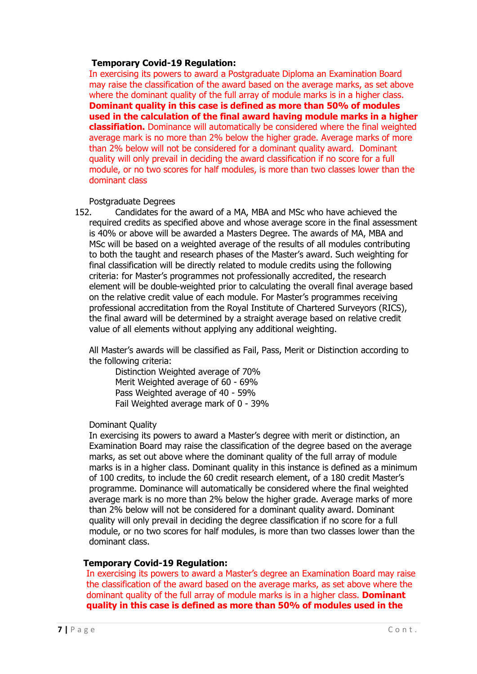# **Temporary Covid-19 Regulation:**

In exercising its powers to award a Postgraduate Diploma an Examination Board may raise the classification of the award based on the average marks, as set above where the dominant quality of the full array of module marks is in a higher class. **Dominant quality in this case is defined as more than 50% of modules used in the calculation of the final award having module marks in a higher classifiation.** Dominance will automatically be considered where the final weighted average mark is no more than 2% below the higher grade. Average marks of more than 2% below will not be considered for a dominant quality award. Dominant quality will only prevail in deciding the award classification if no score for a full module, or no two scores for half modules, is more than two classes lower than the dominant class

#### Postgraduate Degrees

152. Candidates for the award of a MA, MBA and MSc who have achieved the required credits as specified above and whose average score in the final assessment is 40% or above will be awarded a Masters Degree. The awards of MA, MBA and MSc will be based on a weighted average of the results of all modules contributing to both the taught and research phases of the Master's award. Such weighting for final classification will be directly related to module credits using the following criteria: for Master's programmes not professionally accredited, the research element will be double-weighted prior to calculating the overall final average based on the relative credit value of each module. For Master's programmes receiving professional accreditation from the Royal Institute of Chartered Surveyors (RICS), the final award will be determined by a straight average based on relative credit value of all elements without applying any additional weighting.

All Master's awards will be classified as Fail, Pass, Merit or Distinction according to the following criteria:

Distinction Weighted average of 70% Merit Weighted average of 60 - 69% Pass Weighted average of 40 - 59% Fail Weighted average mark of 0 - 39%

# Dominant Quality

In exercising its powers to award a Master's degree with merit or distinction, an Examination Board may raise the classification of the degree based on the average marks, as set out above where the dominant quality of the full array of module marks is in a higher class. Dominant quality in this instance is defined as a minimum of 100 credits, to include the 60 credit research element, of a 180 credit Master's programme. Dominance will automatically be considered where the final weighted average mark is no more than 2% below the higher grade. Average marks of more than 2% below will not be considered for a dominant quality award. Dominant quality will only prevail in deciding the degree classification if no score for a full module, or no two scores for half modules, is more than two classes lower than the dominant class.

# **Temporary Covid-19 Regulation:**

In exercising its powers to award a Master's degree an Examination Board may raise the classification of the award based on the average marks, as set above where the dominant quality of the full array of module marks is in a higher class. **Dominant quality in this case is defined as more than 50% of modules used in the**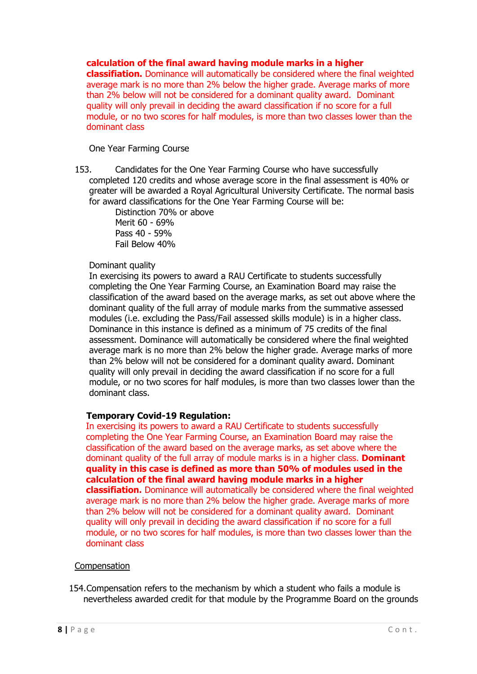# **calculation of the final award having module marks in a higher**

**classifiation.** Dominance will automatically be considered where the final weighted average mark is no more than 2% below the higher grade. Average marks of more than 2% below will not be considered for a dominant quality award. Dominant quality will only prevail in deciding the award classification if no score for a full module, or no two scores for half modules, is more than two classes lower than the dominant class

One Year Farming Course

153. Candidates for the One Year Farming Course who have successfully completed 120 credits and whose average score in the final assessment is 40% or greater will be awarded a Royal Agricultural University Certificate. The normal basis for award classifications for the One Year Farming Course will be:

Distinction 70% or above Merit 60 - 69% Pass 40 - 59% Fail Below 40%

# Dominant quality

In exercising its powers to award a RAU Certificate to students successfully completing the One Year Farming Course, an Examination Board may raise the classification of the award based on the average marks, as set out above where the dominant quality of the full array of module marks from the summative assessed modules (i.e. excluding the Pass/Fail assessed skills module) is in a higher class. Dominance in this instance is defined as a minimum of 75 credits of the final assessment. Dominance will automatically be considered where the final weighted average mark is no more than 2% below the higher grade. Average marks of more than 2% below will not be considered for a dominant quality award. Dominant quality will only prevail in deciding the award classification if no score for a full module, or no two scores for half modules, is more than two classes lower than the dominant class.

# **Temporary Covid-19 Regulation:**

In exercising its powers to award a RAU Certificate to students successfully completing the One Year Farming Course, an Examination Board may raise the classification of the award based on the average marks, as set above where the dominant quality of the full array of module marks is in a higher class. **Dominant quality in this case is defined as more than 50% of modules used in the calculation of the final award having module marks in a higher classifiation.** Dominance will automatically be considered where the final weighted average mark is no more than 2% below the higher grade. Average marks of more than 2% below will not be considered for a dominant quality award. Dominant quality will only prevail in deciding the award classification if no score for a full module, or no two scores for half modules, is more than two classes lower than the dominant class

# **Compensation**

154.Compensation refers to the mechanism by which a student who fails a module is nevertheless awarded credit for that module by the Programme Board on the grounds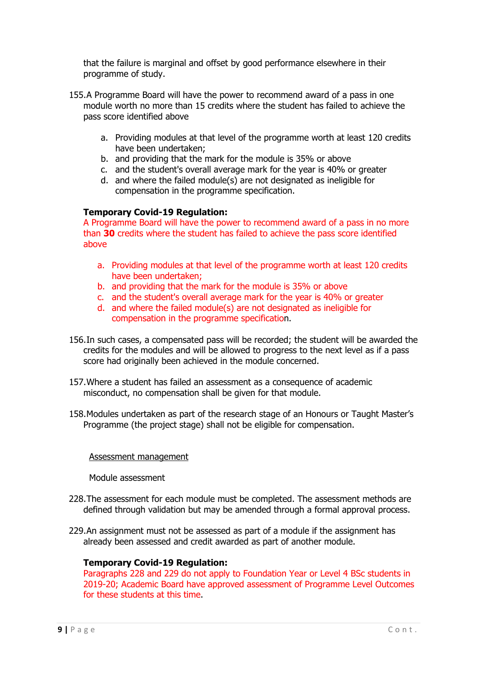that the failure is marginal and offset by good performance elsewhere in their programme of study.

- 155.A Programme Board will have the power to recommend award of a pass in one module worth no more than 15 credits where the student has failed to achieve the pass score identified above
	- a. Providing modules at that level of the programme worth at least 120 credits have been undertaken;
	- b. and providing that the mark for the module is 35% or above
	- c. and the student's overall average mark for the year is 40% or greater
	- d. and where the failed module(s) are not designated as ineligible for compensation in the programme specification.

# **Temporary Covid-19 Regulation:**

A Programme Board will have the power to recommend award of a pass in no more than **30** credits where the student has failed to achieve the pass score identified above

- a. Providing modules at that level of the programme worth at least 120 credits have been undertaken;
- b. and providing that the mark for the module is 35% or above
- c. and the student's overall average mark for the year is 40% or greater
- d. and where the failed module(s) are not designated as ineligible for compensation in the programme specification.
- 156.In such cases, a compensated pass will be recorded; the student will be awarded the credits for the modules and will be allowed to progress to the next level as if a pass score had originally been achieved in the module concerned.
- 157.Where a student has failed an assessment as a consequence of academic misconduct, no compensation shall be given for that module.
- 158.Modules undertaken as part of the research stage of an Honours or Taught Master's Programme (the project stage) shall not be eligible for compensation.

# Assessment management

Module assessment

- 228.The assessment for each module must be completed. The assessment methods are defined through validation but may be amended through a formal approval process.
- 229.An assignment must not be assessed as part of a module if the assignment has already been assessed and credit awarded as part of another module.

# **Temporary Covid-19 Regulation:**

Paragraphs 228 and 229 do not apply to Foundation Year or Level 4 BSc students in 2019-20; Academic Board have approved assessment of Programme Level Outcomes for these students at this time.